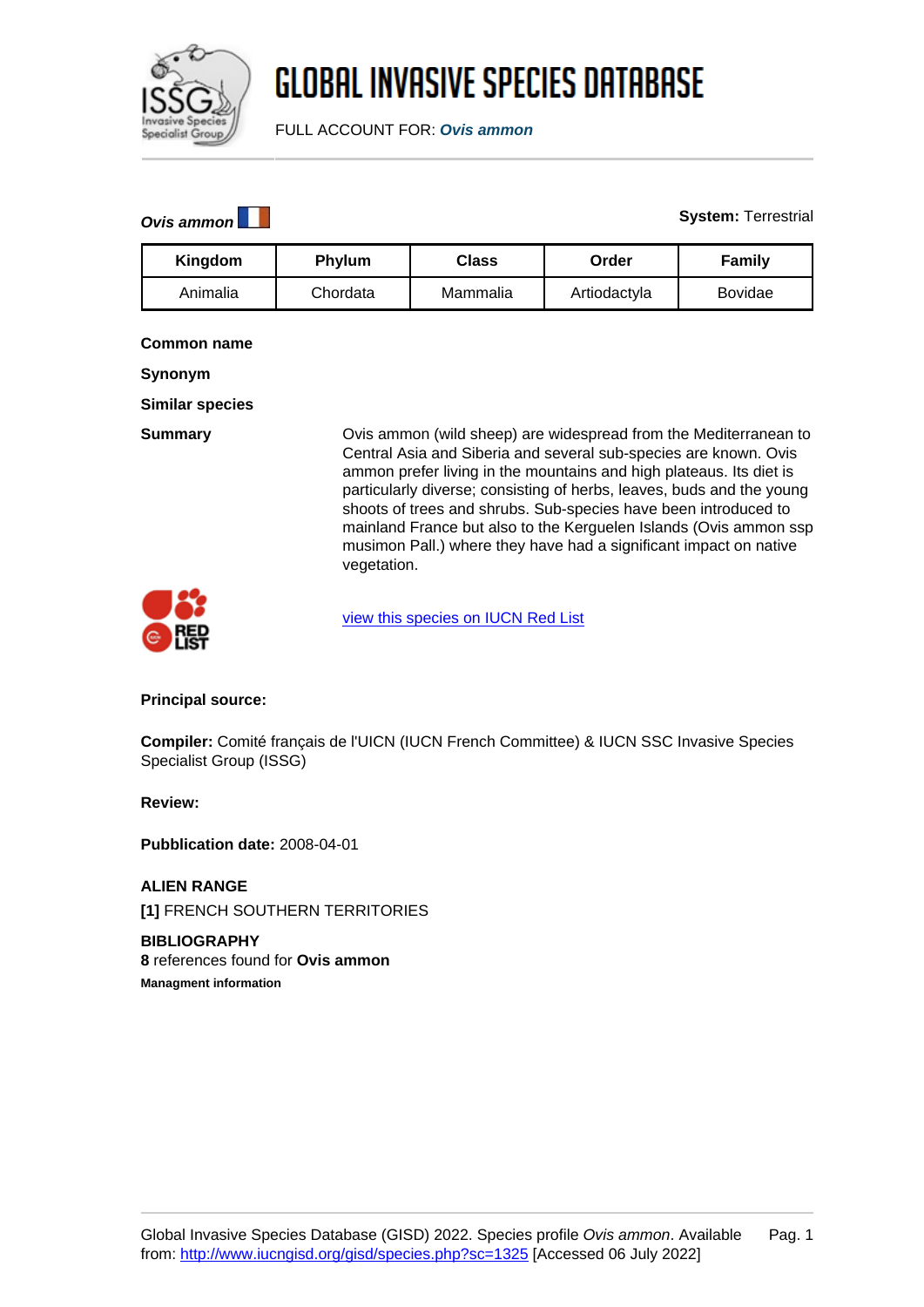

# **GLOBAL INVASIVE SPECIES DATABASE**

FULL ACCOUNT FOR: **Ovis ammon**

### **Ovis ammon System:** Terrestrial

| Kingdom  | <b>Phylum</b> | <b>Class</b> | Order        | <b>Family</b> |
|----------|---------------|--------------|--------------|---------------|
| Animalia | Chordata      | Mammalia     | Artiodactyla | Bovidae       |

### **Common name**

**Synonym**

**Similar species**

**Summary Common (wild sheep)** are widespread from the Mediterranean to Central Asia and Siberia and several sub-species are known. Ovis ammon prefer living in the mountains and high plateaus. Its diet is particularly diverse; consisting of herbs, leaves, buds and the young shoots of trees and shrubs. Sub-species have been introduced to mainland France but also to the Kerguelen Islands (Ovis ammon ssp musimon Pall.) where they have had a significant impact on native vegetation.



[view this species on IUCN Red List](http://www.iucnredlist.org/details/15733/0)

**Principal source:**

**Compiler:** Comité français de l'UICN (IUCN French Committee) & IUCN SSC Invasive Species Specialist Group (ISSG)

**Review:**

**Pubblication date:** 2008-04-01

**ALIEN RANGE [1]** FRENCH SOUTHERN TERRITORIES

**BIBLIOGRAPHY 8** references found for **Ovis ammon Managment information**